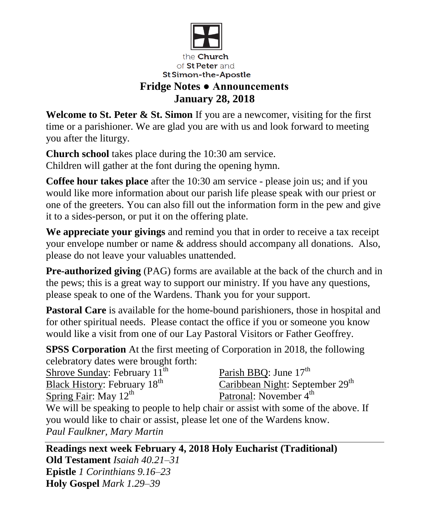

## **Fridge Notes ● Announcements January 28, 2018**

**Welcome to St. Peter & St. Simon** If you are a newcomer, visiting for the first time or a parishioner. We are glad you are with us and look forward to meeting you after the liturgy.

**Church school** takes place during the 10:30 am service. Children will gather at the font during the opening hymn.

**Coffee hour takes place** after the 10:30 am service - please join us; and if you would like more information about our parish life please speak with our priest or one of the greeters. You can also fill out the information form in the pew and give it to a sides-person, or put it on the offering plate.

**We appreciate your givings** and remind you that in order to receive a tax receipt your envelope number or name & address should accompany all donations. Also, please do not leave your valuables unattended.

**Pre-authorized giving** (PAG) forms are available at the back of the church and in the pews; this is a great way to support our ministry. If you have any questions, please speak to one of the Wardens. Thank you for your support.

**Pastoral Care** is available for the home-bound parishioners, those in hospital and for other spiritual needs. Please contact the office if you or someone you know would like a visit from one of our Lay Pastoral Visitors or Father Geoffrey.

**SPSS Corporation** At the first meeting of Corporation in 2018, the following celebratory dates were brought forth:

Shrove Sunday: February 11<sup>th</sup> Black History: February 18<sup>th</sup> Spring Fair: May  $12^{th}$ Parish BBO: June  $17<sup>th</sup>$ Caribbean Night: September 29<sup>th</sup> Patronal: November 4<sup>th</sup> We will be speaking to people to help chair or assist with some of the above. If you would like to chair or assist, please let one of the Wardens know. *Paul Faulkner, Mary Martin*

**Readings next week February 4, 2018 Holy Eucharist (Traditional) Old Testament** *Isaiah 40.21–31* **Epistle** *1 Corinthians 9.16–23* **Holy Gospel** *Mark 1.29–39*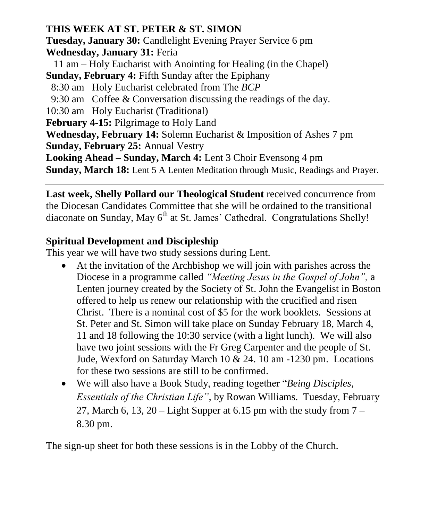## **THIS WEEK AT ST. PETER & ST. SIMON**

**Tuesday, January 30:** Candlelight Evening Prayer Service 6 pm **Wednesday, January 31:** Feria

 11 am – Holy Eucharist with Anointing for Healing (in the Chapel) **Sunday, February 4:** Fifth Sunday after the Epiphany

8:30 am Holy Eucharist celebrated from The *BCP*

9:30 am Coffee & Conversation discussing the readings of the day.

10:30 am Holy Eucharist (Traditional)

**February 4-15:** Pilgrimage to Holy Land

**Wednesday, February 14:** Solemn Eucharist & Imposition of Ashes 7 pm **Sunday, February 25:** Annual Vestry

**Looking Ahead – Sunday, March 4:** Lent 3 Choir Evensong 4 pm

**Sunday, March 18:** Lent 5 A Lenten Meditation through Music, Readings and Prayer.

**Last week, Shelly Pollard our Theological Student** received concurrence from the Diocesan Candidates Committee that she will be ordained to the transitional diaconate on Sunday, May 6<sup>th</sup> at St. James' Cathedral. Congratulations Shelly!

## **Spiritual Development and Discipleship**

This year we will have two study sessions during Lent.

- At the invitation of the Archbishop we will join with parishes across the Diocese in a programme called *"Meeting Jesus in the Gospel of John",* a Lenten journey created by the Society of St. John the Evangelist in Boston offered to help us renew our relationship with the crucified and risen Christ. There is a nominal cost of \$5 for the work booklets. Sessions at St. Peter and St. Simon will take place on Sunday February 18, March 4, 11 and 18 following the 10:30 service (with a light lunch). We will also have two joint sessions with the Fr Greg Carpenter and the people of St. Jude, Wexford on Saturday March 10 & 24. 10 am -1230 pm. Locations for these two sessions are still to be confirmed.
- We will also have a Book Study, reading together "*Being Disciples, Essentials of the Christian Life"*, by Rowan Williams. Tuesday, February 27, March 6, 13, 20 – Light Supper at 6.15 pm with the study from  $7 -$ 8.30 pm.

The sign-up sheet for both these sessions is in the Lobby of the Church.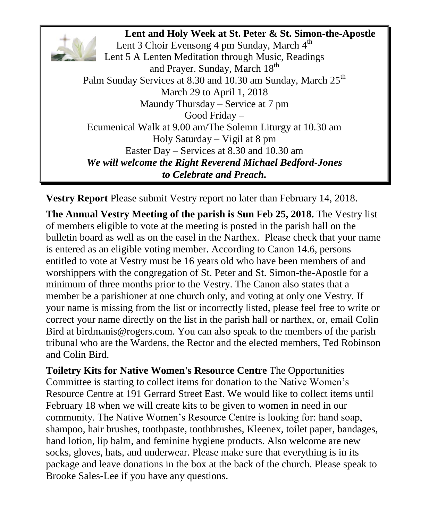**Lent and Holy Week at St. Peter & St. Simon-the-Apostle** Lent 3 Choir Evensong 4 pm Sunday, March  $4<sup>th</sup>$ Lent 5 A Lenten Meditation through Music, Readings and Prayer. Sunday, March 18<sup>th</sup> Palm Sunday Services at 8.30 and 10.30 am Sunday, March 25<sup>th</sup> March 29 to April 1, 2018 Maundy Thursday – Service at 7 pm Good Friday – Ecumenical Walk at 9.00 am/The Solemn Liturgy at 10.30 am Holy Saturday – Vigil at 8 pm Easter Day – Services at 8.30 and 10.30 am *We will welcome the Right Reverend Michael Bedford-Jones to Celebrate and Preach.*

**Vestry Report** Please submit Vestry report no later than February 14, 2018.

**The Annual Vestry Meeting of the parish is Sun Feb 25, 2018.** The Vestry list of members eligible to vote at the meeting is posted in the parish hall on the bulletin board as well as on the easel in the Narthex. Please check that your name is entered as an eligible voting member. According to Canon 14.6, persons entitled to vote at Vestry must be 16 years old who have been members of and worshippers with the congregation of St. Peter and St. Simon-the-Apostle for a minimum of three months prior to the Vestry. The Canon also states that a member be a parishioner at one church only, and voting at only one Vestry. If your name is missing from the list or incorrectly listed, please feel free to write or correct your name directly on the list in the parish hall or narthex, or, email Colin Bird at birdmanis@rogers.com. You can also speak to the members of the parish tribunal who are the Wardens, the Rector and the elected members, Ted Robinson and Colin Bird.

**Toiletry Kits for Native Women's Resource Centre** The Opportunities Committee is starting to collect items for donation to the Native Women's Resource Centre at 191 Gerrard Street East. We would like to collect items until February 18 when we will create kits to be given to women in need in our community. The Native Women's Resource Centre is looking for: hand soap, shampoo, hair brushes, toothpaste, toothbrushes, Kleenex, toilet paper, bandages, hand lotion, lip balm, and feminine hygiene products. Also welcome are new socks, gloves, hats, and underwear. Please make sure that everything is in its package and leave donations in the box at the back of the church. Please speak to Brooke Sales-Lee if you have any questions.